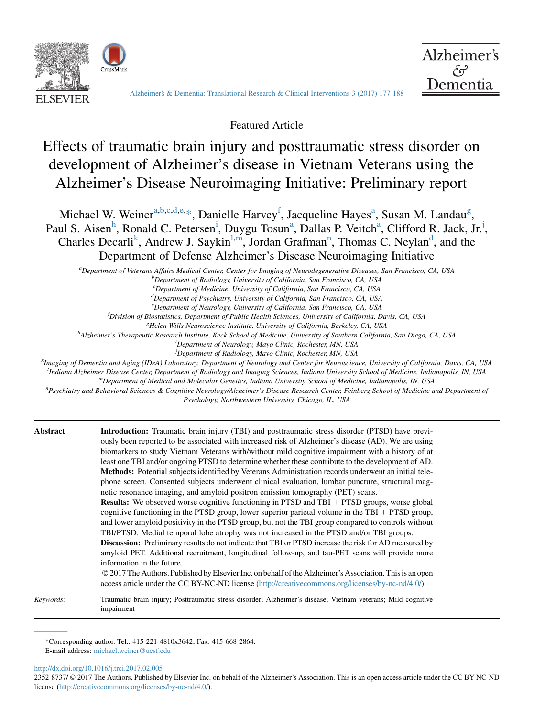



[Alzheimer's & Dementia: Translational Research & Clinical Interventions 3 \(2017\) 177-188](http://dx.doi.org/10.1016/j.trci.2017.02.005)

Featured Article

# Effects of traumatic brain injury and posttraumatic stress disorder on development of Alzheimer's disease in Vietnam Veterans using the Alzheimer's Disease Neuroimaging Initiative: Preliminary report

Michael W. Weiner<sup>a,b,c,d,e,\*</sup>, Danielle Harvey<sup>f</sup>, Jacqueline Hayes<sup>a</sup>, Susan M. Landau<sup>g</sup>, Paul S. Aisen<sup>h</sup>, Ronald C. Petersen<sup>i</sup>, Duygu Tosun<sup>a</sup>, Dallas P. Veitch<sup>a</sup>, Clifford R. Jack, Jr.<sup>j</sup>, Charles Decarli<sup>k</sup>, Andrew J. Saykin<sup>l,m</sup>, Jordan Grafman<sup>n</sup>, Thomas C. Neylan<sup>d</sup>, and the Department of Defense Alzheimer's Disease Neuroimaging Initiative

a Department of Veterans Affairs Medical Center, Center for Imaging of Neurodegenerative Diseases, San Francisco, CA, USA<br>b Department of Padiology University of California, San Francisco, CA, USA

 $b$ Department of Radiology, University of California, San Francisco, CA, USA

<sup>c</sup>Department of Medicine, University of California, San Francisco, CA, USA

<sup>d</sup>Department of Psychiatry, University of California, San Francisco, CA, USA

e Department of Neurology, University of California, San Francisco, CA, USA

<sup>f</sup>Division of Biostatistics, Department of Public Health Sciences, University of California, Davis, CA, USA

<sup>8</sup>Helen Wills Neuroscience Institute, University of California, Berkeley, CA, USA<sup>h</sup> Al-heimar's Thermanutic Besearch Institute, Keek School of Medicine, University of Southern California

<sup>h</sup>Alzheimer's Therapeutic Research Institute, Keck School of Medicine, University of Southern California, San Diego, CA, USA

<sup>i</sup>Department of Neurology, Mayo Clinic, Rochester, MN, USA

<sup>j</sup>Department of Radiology, Mayo Clinic, Rochester, MN, USA

k<br>Imaging of Dementia and Aging (IDeA) Laboratory, Department of Neurology and Center for Neuroscience, University of California, Davis, CA, USA <sup>1</sup>Indiana Alzheimer Disease Center, Department of Radiology and Imaging Sciences, Indiana University School of Medicine, Indianapolis, IN, USA "Department of Medical and Molecular Genetics, Indiana University School of Medicine, Indianapolis, IN, USA

Psychiatry and Behavioral Sciences & Cognitive Neurology/Alzheimer's Disease Research Center, Feinberg School of Medicine and Department of

Psychology, Northwestern University, Chicago, IL, USA

| Abstract  | <b>Introduction:</b> Traumatic brain injury (TBI) and posttraumatic stress disorder (PTSD) have previ-<br>ously been reported to be associated with increased risk of Alzheimer's disease (AD). We are using<br>biomarkers to study Vietnam Veterans with/without mild cognitive impairment with a history of at<br>least one TBI and/or ongoing PTSD to determine whether these contribute to the development of AD.<br><b>Methods:</b> Potential subjects identified by Veterans Administration records underwent an initial tele-<br>phone screen. Consented subjects underwent clinical evaluation, lumbar puncture, structural mag-<br>netic resonance imaging, and amyloid positron emission tomography (PET) scans. |
|-----------|----------------------------------------------------------------------------------------------------------------------------------------------------------------------------------------------------------------------------------------------------------------------------------------------------------------------------------------------------------------------------------------------------------------------------------------------------------------------------------------------------------------------------------------------------------------------------------------------------------------------------------------------------------------------------------------------------------------------------|
|           | <b>Results:</b> We observed worse cognitive functioning in PTSD and TBI + PTSD groups, worse global<br>cognitive functioning in the PTSD group, lower superior parietal volume in the TBI $+$ PTSD group,<br>and lower amyloid positivity in the PTSD group, but not the TBI group compared to controls without<br>TBI/PTSD. Medial temporal lobe atrophy was not increased in the PTSD and/or TBI groups.                                                                                                                                                                                                                                                                                                                 |
|           | <b>Discussion:</b> Preliminary results do not indicate that TBI or PTSD increase the risk for AD measured by<br>amyloid PET. Additional recruitment, longitudinal follow-up, and tau-PET scans will provide more<br>information in the future.<br>© 2017 The Authors. Published by Elsevier Inc. on behalf of the Alzheimer's Association. This is an open<br>access article under the CC BY-NC-ND license (http://creativecommons.org/licenses/by-nc-nd/4.0/).                                                                                                                                                                                                                                                            |
| Keywords: | Traumatic brain injury; Posttraumatic stress disorder; Alzheimer's disease; Vietnam veterans; Mild cognitive<br>impairment                                                                                                                                                                                                                                                                                                                                                                                                                                                                                                                                                                                                 |

\*Corresponding author. Tel.: 415-221-4810x3642; Fax: 415-668-2864. E-mail address: [michael.weiner@ucsf.edu](mailto:michael.weiner@ucsf.edu)

<http://dx.doi.org/10.1016/j.trci.2017.02.005>

2352-8737/  $\odot$  2017 The Authors. Published by Elsevier Inc. on behalf of the Alzheimer's Association. This is an open access article under the CC BY-NC-ND license ([http://creativecommons.org/licenses/by-nc-nd/4.0/\)](http://creativecommons.org/licenses/by-nc-nd/4.0/).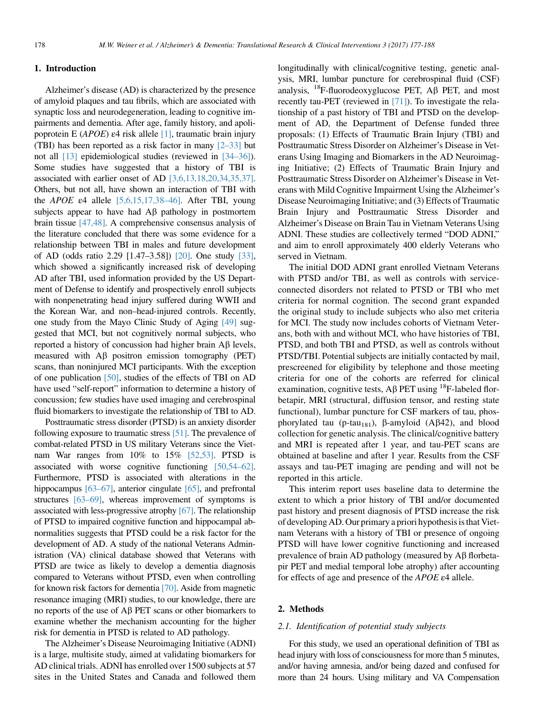## 1. Introduction

Alzheimer's disease (AD) is characterized by the presence of amyloid plaques and tau fibrils, which are associated with synaptic loss and neurodegeneration, leading to cognitive impairments and dementia. After age, family history, and apoli-poprotein E (APOE) ε4 risk allele [\[1\],](#page-8-0) traumatic brain injury (TBI) has been reported as a risk factor in many  $[2-33]$  but not all [\[13\]](#page-9-0) epidemiological studies (reviewed in [\[34–36\]](#page-9-0)). Some studies have suggested that a history of TBI is associated with earlier onset of AD [\[3,6,13,18,20,34,35,37\].](#page-8-0) Others, but not all, have shown an interaction of TBI with the *APOE*  $\varepsilon$ 4 allele [\[5,6,15,17,38–46\].](#page-8-0) After TBI, young subjects appear to have had  $\overrightarrow{AB}$  pathology in postmortem brain tissue [\[47,48\]](#page-9-0). A comprehensive consensus analysis of the literature concluded that there was some evidence for a relationship between TBI in males and future development of AD (odds ratio 2.29 [1.47–3.58]) [\[20\]](#page-9-0). One study [\[33\],](#page-9-0) which showed a significantly increased risk of developing AD after TBI, used information provided by the US Department of Defense to identify and prospectively enroll subjects with nonpenetrating head injury suffered during WWII and the Korean War, and non–head-injured controls. Recently, one study from the Mayo Clinic Study of Aging [\[49\]](#page-9-0) suggested that MCI, but not cognitively normal subjects, who reported a history of concussion had higher brain  $\mathbf{A}\mathbf{\beta}$  levels, measured with  $\overrightarrow{AB}$  positron emission tomography (PET) scans, than noninjured MCI participants. With the exception of one publication [\[50\]](#page-9-0), studies of the effects of TBI on AD have used "self-report" information to determine a history of concussion; few studies have used imaging and cerebrospinal fluid biomarkers to investigate the relationship of TBI to AD.

Posttraumatic stress disorder (PTSD) is an anxiety disorder following exposure to traumatic stress [\[51\].](#page-10-0) The prevalence of combat-related PTSD in US military Veterans since the Vietnam War ranges from 10% to 15% [\[52,53\]](#page-10-0). PTSD is associated with worse cognitive functioning [\[50,54–62\].](#page-9-0) Furthermore, PTSD is associated with alterations in the hippocampus [\[63–67\]](#page-10-0), anterior cingulate [\[65\]](#page-10-0), and prefrontal structures [\[63–69\],](#page-10-0) whereas improvement of symptoms is associated with less-progressive atrophy [\[67\].](#page-10-0) The relationship of PTSD to impaired cognitive function and hippocampal abnormalities suggests that PTSD could be a risk factor for the development of AD. A study of the national Veterans Administration (VA) clinical database showed that Veterans with PTSD are twice as likely to develop a dementia diagnosis compared to Veterans without PTSD, even when controlling for known risk factors for dementia [\[70\]](#page-10-0). Aside from magnetic resonance imaging (MRI) studies, to our knowledge, there are no reports of the use of  $\overrightarrow{AB}$  PET scans or other biomarkers to examine whether the mechanism accounting for the higher risk for dementia in PTSD is related to AD pathology.

The Alzheimer's Disease Neuroimaging Initiative (ADNI) is a large, multisite study, aimed at validating biomarkers for AD clinical trials. ADNI has enrolled over 1500 subjects at 57 sites in the United States and Canada and followed them longitudinally with clinical/cognitive testing, genetic analysis, MRI, lumbar puncture for cerebrospinal fluid (CSF) analysis,  $^{18}$ F-fluorodeoxyglucose PET, A $\beta$  PET, and most recently tau-PET (reviewed in [\[71\]](#page-10-0)). To investigate the relationship of a past history of TBI and PTSD on the development of AD, the Department of Defense funded three proposals: (1) Effects of Traumatic Brain Injury (TBI) and Posttraumatic Stress Disorder on Alzheimer's Disease in Veterans Using Imaging and Biomarkers in the AD Neuroimaging Initiative; (2) Effects of Traumatic Brain Injury and Posttraumatic Stress Disorder on Alzheimer's Disease in Veterans with Mild Cognitive Impairment Using the Alzheimer's Disease Neuroimaging Initiative; and (3) Effects of Traumatic Brain Injury and Posttraumatic Stress Disorder and Alzheimer's Disease on Brain Tau in Vietnam Veterans Using ADNI. These studies are collectively termed "DOD ADNI," and aim to enroll approximately 400 elderly Veterans who served in Vietnam.

The initial DOD ADNI grant enrolled Vietnam Veterans with PTSD and/or TBI, as well as controls with serviceconnected disorders not related to PTSD or TBI who met criteria for normal cognition. The second grant expanded the original study to include subjects who also met criteria for MCI. The study now includes cohorts of Vietnam Veterans, both with and without MCI, who have histories of TBI, PTSD, and both TBI and PTSD, as well as controls without PTSD/TBI. Potential subjects are initially contacted by mail, prescreened for eligibility by telephone and those meeting criteria for one of the cohorts are referred for clinical examination, cognitive tests, A $\beta$  PET using <sup>18</sup>F-labeled florbetapir, MRI (structural, diffusion tensor, and resting state functional), lumbar puncture for CSF markers of tau, phosphorylated tau (p-tau<sub>181</sub>),  $\beta$ -amyloid (A $\beta$ 42), and blood collection for genetic analysis. The clinical/cognitive battery and MRI is repeated after 1 year, and tau-PET scans are obtained at baseline and after 1 year. Results from the CSF assays and tau-PET imaging are pending and will not be reported in this article.

This interim report uses baseline data to determine the extent to which a prior history of TBI and/or documented past history and present diagnosis of PTSD increase the risk of developing AD. Our primary a priori hypothesis isthat Vietnam Veterans with a history of TBI or presence of ongoing PTSD will have lower cognitive functioning and increased prevalence of brain AD pathology (measured by  $\overrightarrow{AB}$  florbetapir PET and medial temporal lobe atrophy) after accounting for effects of age and presence of the APOE ε4 allele.

### 2. Methods

#### 2.1. Identification of potential study subjects

For this study, we used an operational definition of TBI as head injury with loss of consciousness for more than 5 minutes, and/or having amnesia, and/or being dazed and confused for more than 24 hours. Using military and VA Compensation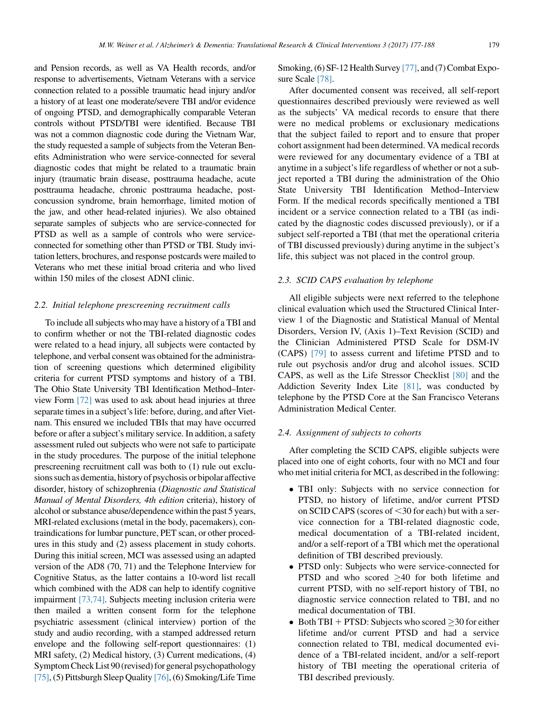and Pension records, as well as VA Health records, and/or response to advertisements, Vietnam Veterans with a service connection related to a possible traumatic head injury and/or a history of at least one moderate/severe TBI and/or evidence of ongoing PTSD, and demographically comparable Veteran controls without PTSD/TBI were identified. Because TBI was not a common diagnostic code during the Vietnam War, the study requested a sample of subjects from the Veteran Benefits Administration who were service-connected for several diagnostic codes that might be related to a traumatic brain injury (traumatic brain disease, posttrauma headache, acute posttrauma headache, chronic posttrauma headache, postconcussion syndrome, brain hemorrhage, limited motion of the jaw, and other head-related injuries). We also obtained separate samples of subjects who are service-connected for PTSD as well as a sample of controls who were serviceconnected for something other than PTSD or TBI. Study invitation letters, brochures, and response postcards were mailed to Veterans who met these initial broad criteria and who lived within 150 miles of the closest ADNI clinic.

#### 2.2. Initial telephone prescreening recruitment calls

To include all subjects who may have a history of a TBI and to confirm whether or not the TBI-related diagnostic codes were related to a head injury, all subjects were contacted by telephone, and verbal consent was obtained for the administration of screening questions which determined eligibility criteria for current PTSD symptoms and history of a TBI. The Ohio State University TBI Identification Method–Interview Form [\[72\]](#page-10-0) was used to ask about head injuries at three separate times in a subject's life: before, during, and after Vietnam. This ensured we included TBIs that may have occurred before or after a subject's military service. In addition, a safety assessment ruled out subjects who were not safe to participate in the study procedures. The purpose of the initial telephone prescreening recruitment call was both to (1) rule out exclusions such as dementia, history of psychosis or bipolar affective disorder, history of schizophrenia (Diagnostic and Statistical Manual of Mental Disorders, 4th edition criteria), history of alcohol or substance abuse/dependence within the past 5 years, MRI-related exclusions (metal in the body, pacemakers), contraindications for lumbar puncture, PET scan, or other procedures in this study and (2) assess placement in study cohorts. During this initial screen, MCI was assessed using an adapted version of the AD8 (70, 71) and the Telephone Interview for Cognitive Status, as the latter contains a 10-word list recall which combined with the AD8 can help to identify cognitive impairment [\[73,74\].](#page-10-0) Subjects meeting inclusion criteria were then mailed a written consent form for the telephone psychiatric assessment (clinical interview) portion of the study and audio recording, with a stamped addressed return envelope and the following self-report questionnaires: (1) MRI safety, (2) Medical history, (3) Current medications, (4) Symptom Check List 90 (revised) for general psychopathology [\[75\]](#page-10-0), (5) Pittsburgh Sleep Quality [\[76\]](#page-10-0), (6) Smoking/Life Time

Smoking, (6) SF-12 Health Survey [\[77\],](#page-10-0) and (7) Combat Exposure Scale [\[78\]](#page-10-0).

After documented consent was received, all self-report questionnaires described previously were reviewed as well as the subjects' VA medical records to ensure that there were no medical problems or exclusionary medications that the subject failed to report and to ensure that proper cohort assignment had been determined. VA medical records were reviewed for any documentary evidence of a TBI at anytime in a subject's life regardless of whether or not a subject reported a TBI during the administration of the Ohio State University TBI Identification Method–Interview Form. If the medical records specifically mentioned a TBI incident or a service connection related to a TBI (as indicated by the diagnostic codes discussed previously), or if a subject self-reported a TBI (that met the operational criteria of TBI discussed previously) during anytime in the subject's life, this subject was not placed in the control group.

## 2.3. SCID CAPS evaluation by telephone

All eligible subjects were next referred to the telephone clinical evaluation which used the Structured Clinical Interview 1 of the Diagnostic and Statistical Manual of Mental Disorders, Version IV, (Axis 1)–Text Revision (SCID) and the Clinician Administered PTSD Scale for DSM-IV (CAPS) [\[79\]](#page-10-0) to assess current and lifetime PTSD and to rule out psychosis and/or drug and alcohol issues. SCID CAPS, as well as the Life Stressor Checklist [\[80\]](#page-10-0) and the Addiction Severity Index Lite [\[81\]](#page-10-0), was conducted by telephone by the PTSD Core at the San Francisco Veterans Administration Medical Center.

### 2.4. Assignment of subjects to cohorts

After completing the SCID CAPS, eligible subjects were placed into one of eight cohorts, four with no MCI and four who met initial criteria for MCI, as described in the following:

- TBI only: Subjects with no service connection for PTSD, no history of lifetime, and/or current PTSD on SCID CAPS (scores of  $\leq$ 30 for each) but with a service connection for a TBI-related diagnostic code, medical documentation of a TBI-related incident, and/or a self-report of a TBI which met the operational definition of TBI described previously.
- PTSD only: Subjects who were service-connected for PTSD and who scored  $\geq 40$  for both lifetime and current PTSD, with no self-report history of TBI, no diagnostic service connection related to TBI, and no medical documentation of TBI.
- Both TBI  $+$  PTSD: Subjects who scored  $>$ 30 for either lifetime and/or current PTSD and had a service connection related to TBI, medical documented evidence of a TBI-related incident, and/or a self-report history of TBI meeting the operational criteria of TBI described previously.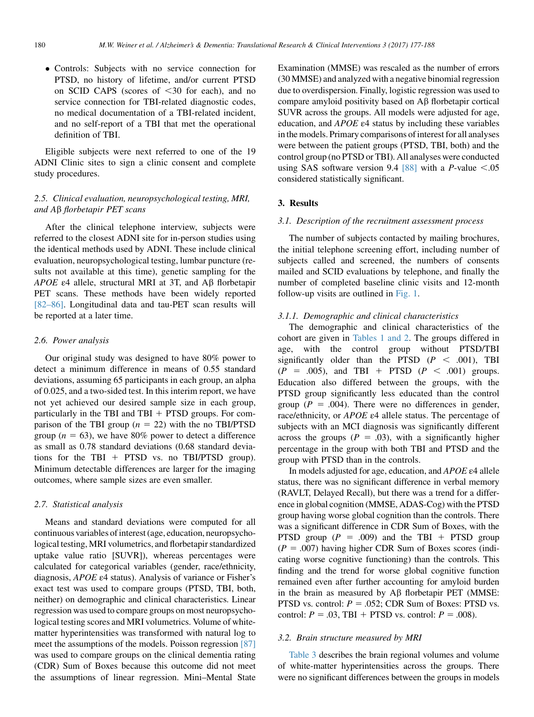Controls: Subjects with no service connection for PTSD, no history of lifetime, and/or current PTSD on SCID CAPS (scores of  $\leq 30$  for each), and no service connection for TBI-related diagnostic codes, no medical documentation of a TBI-related incident, and no self-report of a TBI that met the operational definition of TBI.

Eligible subjects were next referred to one of the 19 ADNI Clinic sites to sign a clinic consent and complete study procedures.

# 2.5. Clinical evaluation, neuropsychological testing, MRI, and Ab florbetapir PET scans

After the clinical telephone interview, subjects were referred to the closest ADNI site for in-person studies using the identical methods used by ADNI. These include clinical evaluation, neuropsychological testing, lumbar puncture (results not available at this time), genetic sampling for the APOE  $\varepsilon$ 4 allele, structural MRI at 3T, and A $\beta$  florbetapir PET scans. These methods have been widely reported [\[82–86\].](#page-10-0) Longitudinal data and tau-PET scan results will be reported at a later time.

## 2.6. Power analysis

Our original study was designed to have 80% power to detect a minimum difference in means of 0.55 standard deviations, assuming 65 participants in each group, an alpha of 0.025, and a two-sided test. In this interim report, we have not yet achieved our desired sample size in each group, particularly in the TBI and TBI  $+$  PTSD groups. For comparison of the TBI group  $(n = 22)$  with the no TBI/PTSD group ( $n = 63$ ), we have 80% power to detect a difference as small as 0.78 standard deviations (0.68 standard deviations for the TBI  $+$  PTSD vs. no TBI/PTSD group). Minimum detectable differences are larger for the imaging outcomes, where sample sizes are even smaller.

## 2.7. Statistical analysis

Means and standard deviations were computed for all continuous variables of interest (age, education, neuropsychological testing, MRI volumetrics, and florbetapir standardized uptake value ratio [SUVR]), whereas percentages were calculated for categorical variables (gender, race/ethnicity, diagnosis, APOE ε4 status). Analysis of variance or Fisher's exact test was used to compare groups (PTSD, TBI, both, neither) on demographic and clinical characteristics. Linear regression was used to compare groups on most neuropsychological testing scores and MRI volumetrics. Volume of whitematter hyperintensities was transformed with natural log to meet the assumptions of the models. Poisson regression [\[87\]](#page-10-0) was used to compare groups on the clinical dementia rating (CDR) Sum of Boxes because this outcome did not meet the assumptions of linear regression. Mini–Mental State

Examination (MMSE) was rescaled as the number of errors (30 MMSE) and analyzed with a negative binomial regression due to overdispersion. Finally, logistic regression was used to compare amyloid positivity based on  $\mathbf{A}\beta$  florbetapir cortical SUVR across the groups. All models were adjusted for age, education, and APOE ε4 status by including these variables in the models. Primary comparisons of interest for all analyses were between the patient groups (PTSD, TBI, both) and the control group (no PTSD or TBI). All analyses were conducted using SAS software version 9.4  $[88]$  with a *P*-value <.05 considered statistically significant.

# 3. Results

#### 3.1. Description of the recruitment assessment process

The number of subjects contacted by mailing brochures, the initial telephone screening effort, including number of subjects called and screened, the numbers of consents mailed and SCID evaluations by telephone, and finally the number of completed baseline clinic visits and 12-month follow-up visits are outlined in [Fig. 1.](#page-4-0)

# 3.1.1. Demographic and clinical characteristics

The demographic and clinical characteristics of the cohort are given in [Tables 1 and 2](#page-5-0). The groups differed in age, with the control group without PTSD/TBI significantly older than the PTSD  $(P < .001)$ , TBI  $(P = .005)$ , and TBI + PTSD  $(P < .001)$  groups. Education also differed between the groups, with the PTSD group significantly less educated than the control group ( $P = .004$ ). There were no differences in gender, race/ethnicity, or APOE ε4 allele status. The percentage of subjects with an MCI diagnosis was significantly different across the groups ( $P = .03$ ), with a significantly higher percentage in the group with both TBI and PTSD and the group with PTSD than in the controls.

In models adjusted for age, education, and APOE ε4 allele status, there was no significant difference in verbal memory (RAVLT, Delayed Recall), but there was a trend for a difference in global cognition (MMSE, ADAS-Cog) with the PTSD group having worse global cognition than the controls. There was a significant difference in CDR Sum of Boxes, with the PTSD group  $(P = .009)$  and the TBI + PTSD group  $(P = .007)$  having higher CDR Sum of Boxes scores (indicating worse cognitive functioning) than the controls. This finding and the trend for worse global cognitive function remained even after further accounting for amyloid burden in the brain as measured by  $A\beta$  florbetapir PET (MMSE: PTSD vs. control:  $P = .052$ ; CDR Sum of Boxes: PTSD vs. control:  $P = .03$ , TBI + PTSD vs. control:  $P = .008$ ).

#### 3.2. Brain structure measured by MRI

[Table 3](#page-6-0) describes the brain regional volumes and volume of white-matter hyperintensities across the groups. There were no significant differences between the groups in models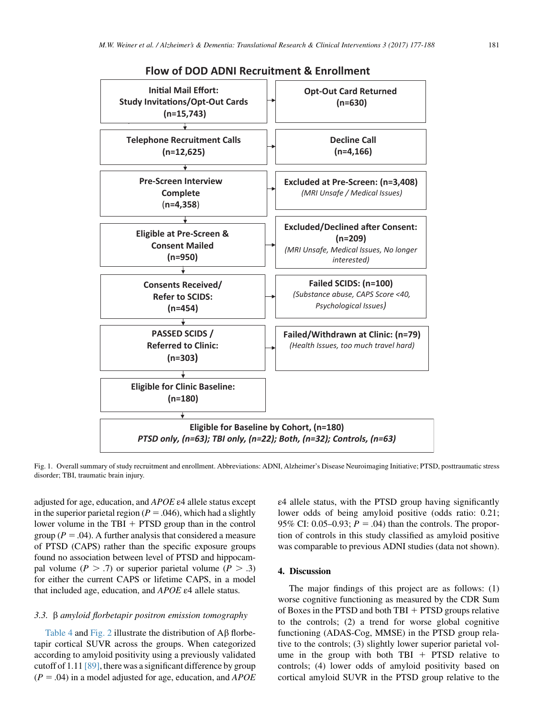<span id="page-4-0"></span>

**Flow of DOD ADNI Recruitment & Enrollment**

Fig. 1. Overall summary of study recruitment and enrollment. Abbreviations: ADNI, Alzheimer's Disease Neuroimaging Initiative; PTSD, posttraumatic stress disorder; TBI, traumatic brain injury.

adjusted for age, education, and APOE ε4 allele status except in the superior parietal region ( $P = .046$ ), which had a slightly lower volume in the TBI  $+$  PTSD group than in the control group ( $P = .04$ ). A further analysis that considered a measure of PTSD (CAPS) rather than the specific exposure groups found no association between level of PTSD and hippocampal volume ( $P > .7$ ) or superior parietal volume ( $P > .3$ ) for either the current CAPS or lifetime CAPS, in a model that included age, education, and APOE ε4 allele status.

### 3.3. b amyloid florbetapir positron emission tomography

[Table 4](#page-6-0) and [Fig. 2](#page-7-0) illustrate the distribution of  $\overrightarrow{AB}$  florbetapir cortical SUVR across the groups. When categorized according to amyloid positivity using a previously validated cutoff of 1.11 [\[89\],](#page-10-0) there was a significant difference by group  $(P = .04)$  in a model adjusted for age, education, and *APOE*  ε4 allele status, with the PTSD group having significantly lower odds of being amyloid positive (odds ratio: 0.21; 95% CI: 0.05–0.93;  $P = .04$ ) than the controls. The proportion of controls in this study classified as amyloid positive was comparable to previous ADNI studies (data not shown).

## 4. Discussion

The major findings of this project are as follows: (1) worse cognitive functioning as measured by the CDR Sum of Boxes in the PTSD and both TBI  $+$  PTSD groups relative to the controls; (2) a trend for worse global cognitive functioning (ADAS-Cog, MMSE) in the PTSD group relative to the controls; (3) slightly lower superior parietal volume in the group with both TBI  $+$  PTSD relative to controls; (4) lower odds of amyloid positivity based on cortical amyloid SUVR in the PTSD group relative to the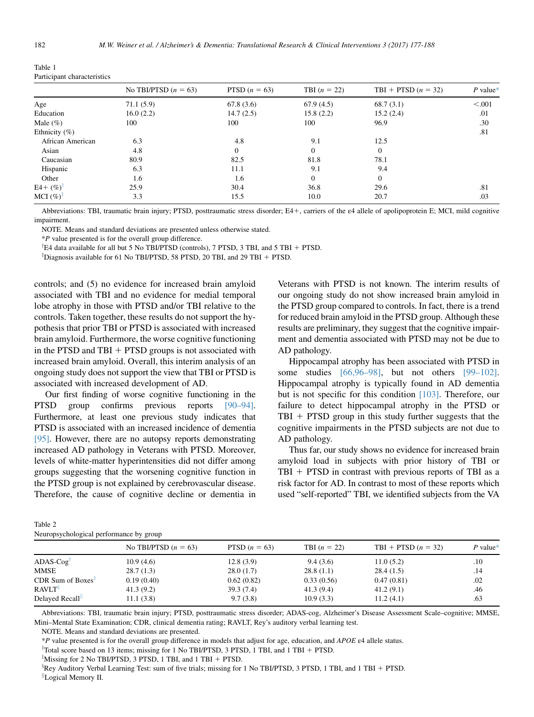<span id="page-5-0"></span>

| Table 1                     |  |
|-----------------------------|--|
| Participant characteristics |  |

|                       | No TBI/PTSD $(n = 63)$ | PTSD $(n = 63)$ | TBI $(n = 22)$ | TBI + PTSD $(n = 32)$ | $P$ value* |
|-----------------------|------------------------|-----------------|----------------|-----------------------|------------|
| Age                   | 71.1(5.9)              | 67.8(3.6)       | 67.9(4.5)      | 68.7(3.1)             | < 0.001    |
| Education             | 16.0(2.2)              | 14.7(2.5)       | 15.8(2.2)      | 15.2(2.4)             | .01        |
| Male $(\%)$           | 100                    | 100             | 100            | 96.9                  | .30        |
| Ethnicity $(\% )$     |                        |                 |                |                       | .81        |
| African American      | 6.3                    | 4.8             | 9.1            | 12.5                  |            |
| Asian                 | 4.8                    | $\Omega$        | $\Omega$       | $\Omega$              |            |
| Caucasian             | 80.9                   | 82.5            | 81.8           | 78.1                  |            |
| Hispanic              | 6.3                    | 11.1            | 9.1            | 9.4                   |            |
| Other                 | 1.6                    | 1.6             | $\Omega$       | $\overline{0}$        |            |
| $E4 + (\%)$           | 25.9                   | 30.4            | 36.8           | 29.6                  | .81        |
| MCI $(\%)^{\ddagger}$ | 3.3                    | 15.5            | 10.0           | 20.7                  | .03        |

Abbreviations: TBI, traumatic brain injury; PTSD, posttraumatic stress disorder; E41, carriers of the ε4 allele of apolipoprotein E; MCI, mild cognitive impairment.

NOTE. Means and standard deviations are presented unless otherwise stated.

\*P value presented is for the overall group difference.

<sup>T</sup>E4 data available for all but 5 No TBI/PTSD (controls), 7 PTSD, 3 TBI, and 5 TBI + PTSD.

<sup>‡</sup>Diagnosis available for 61 No TBI/PTSD, 58 PTSD, 20 TBI, and 29 TBI + PTSD.

controls; and (5) no evidence for increased brain amyloid associated with TBI and no evidence for medial temporal lobe atrophy in those with PTSD and/or TBI relative to the controls. Taken together, these results do not support the hypothesis that prior TBI or PTSD is associated with increased brain amyloid. Furthermore, the worse cognitive functioning in the PTSD and  $TBI + PTSD$  groups is not associated with increased brain amyloid. Overall, this interim analysis of an ongoing study does not support the view that TBI or PTSD is associated with increased development of AD.

Our first finding of worse cognitive functioning in the PTSD group confirms previous reports [\[90–94\].](#page-10-0) Furthermore, at least one previous study indicates that PTSD is associated with an increased incidence of dementia [\[95\]](#page-11-0). However, there are no autopsy reports demonstrating increased AD pathology in Veterans with PTSD. Moreover, levels of white-matter hyperintensities did not differ among groups suggesting that the worsening cognitive function in the PTSD group is not explained by cerebrovascular disease. Therefore, the cause of cognitive decline or dementia in

Veterans with PTSD is not known. The interim results of our ongoing study do not show increased brain amyloid in the PTSD group compared to controls. In fact, there is a trend for reduced brain amyloid in the PTSD group. Although these results are preliminary, they suggest that the cognitive impairment and dementia associated with PTSD may not be due to AD pathology.

Hippocampal atrophy has been associated with PTSD in some studies [\[66,96–98\]](#page-10-0), but not others [\[99–102\].](#page-11-0) Hippocampal atrophy is typically found in AD dementia but is not specific for this condition [\[103\].](#page-11-0) Therefore, our failure to detect hippocampal atrophy in the PTSD or  $TBI + PTSD$  group in this study further suggests that the cognitive impairments in the PTSD subjects are not due to AD pathology.

Thus far, our study shows no evidence for increased brain amyloid load in subjects with prior history of TBI or  $TBI + PTSD$  in contrast with previous reports of TBI as a risk factor for AD. In contrast to most of these reports which used "self-reported" TBI, we identified subjects from the VA

| Table 2                                 |  |
|-----------------------------------------|--|
| Neuropsychological performance by group |  |

| rearopsychological performance by group               |                        |                 |                |                       |          |  |  |
|-------------------------------------------------------|------------------------|-----------------|----------------|-----------------------|----------|--|--|
|                                                       | No TBI/PTSD $(n = 63)$ | PTSD $(n = 63)$ | TBI $(n = 22)$ | TBI + PTSD $(n = 32)$ | P value* |  |  |
| $ADAS-Cog$ <sup>T</sup>                               | 10.9(4.6)              | 12.8(3.9)       | 9.4(3.6)       | 11.0(5.2)             | .10      |  |  |
| MMSE                                                  | 28.7(1.3)              | 28.0(1.7)       | 28.8(1.1)      | 28.4(1.5)             | .14      |  |  |
| CDR Sum of Boxes <sup><math>\overline{z}</math></sup> | 0.19(0.40)             | 0.62(0.82)      | 0.33(0.56)     | 0.47(0.81)            | .02      |  |  |
| RAVLT <sup>§</sup>                                    | 41.3(9.2)              | 39.3(7.4)       | 41.3(9.4)      | 41.2(9.1)             | .46      |  |  |
| Delayed Recall <sup>11</sup>                          | 11.1(3.8)              | 9.7(3.8)        | 10.9(3.3)      | 11.2(4.1)             | .63      |  |  |
|                                                       |                        |                 |                |                       |          |  |  |

Abbreviations: TBI, traumatic brain injury; PTSD, posttraumatic stress disorder; ADAS-cog, Alzheimer's Disease Assessment Scale–cognitive; MMSE, Mini–Mental State Examination; CDR, clinical dementia rating; RAVLT, Rey's auditory verbal learning test.

NOTE. Means and standard deviations are presented.

\*P value presented is for the overall group difference in models that adjust for age, education, and APOE  $\varepsilon$ 4 allele status.

<sup>†</sup>Total score based on 13 items; missing for 1 No TBI/PTSD, 3 PTSD, 1 TBI, and 1 TBI + PTSD.

<sup>‡</sup>Missing for 2 No TBI/PTSD, 3 PTSD, 1 TBI, and 1 TBI + PTSD.

<sup>3</sup>Rey Auditory Verbal Learning Test: sum of five trials; missing for 1 No TBI/PTSD, 3 PTSD, 1 TBI, and 1 TBI + PTSD. <sup>||</sup>Logical Memory II.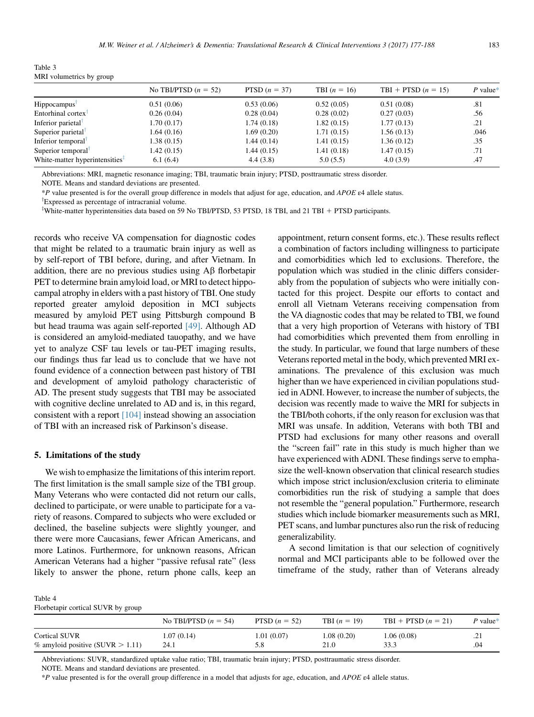| $\frac{1}{2}$ rotal detector $\frac{1}{2}$ $\frac{1}{2}$ $\frac{1}{2}$ $\frac{1}{2}$ $\frac{1}{2}$ $\frac{1}{2}$ $\frac{1}{2}$ $\frac{1}{2}$ $\frac{1}{2}$ $\frac{1}{2}$ $\frac{1}{2}$ $\frac{1}{2}$ $\frac{1}{2}$ $\frac{1}{2}$ $\frac{1}{2}$ $\frac{1}{2}$ $\frac{1}{2}$ $\frac{1}{2}$ $\frac{1}{2}$ $\frac{1}{$ |                        |                 |                |                       |            |  |  |
|--------------------------------------------------------------------------------------------------------------------------------------------------------------------------------------------------------------------------------------------------------------------------------------------------------------------|------------------------|-----------------|----------------|-----------------------|------------|--|--|
|                                                                                                                                                                                                                                                                                                                    | No TBI/PTSD $(n = 52)$ | PTSD $(n = 37)$ | TBI $(n = 16)$ | TBI + PTSD $(n = 15)$ | $P$ value* |  |  |
| Hippocampus <sup>1</sup>                                                                                                                                                                                                                                                                                           | 0.51(0.06)             | 0.53(0.06)      | 0.52(0.05)     | 0.51(0.08)            | .81        |  |  |
| Entorhinal cortex <sup>†</sup>                                                                                                                                                                                                                                                                                     | 0.26(0.04)             | 0.28(0.04)      | 0.28(0.02)     | 0.27(0.03)            | .56        |  |  |
| Inferior parietal <sup>T</sup>                                                                                                                                                                                                                                                                                     | 1.70(0.17)             | 1.74(0.18)      | 1.82(0.15)     | 1.77(0.13)            | .21        |  |  |
| Superior parietal <sup>†</sup>                                                                                                                                                                                                                                                                                     | 1.64(0.16)             | 1.69(0.20)      | 1.71(0.15)     | 1.56(0.13)            | .046       |  |  |
| Inferior temporal <sup>1</sup>                                                                                                                                                                                                                                                                                     | 1.38(0.15)             | 1.44(0.14)      | 1.41(0.15)     | 1.36(0.12)            | .35        |  |  |
| Superior temporal <sup>1</sup>                                                                                                                                                                                                                                                                                     | 1.42(0.15)             | 1.44(0.15)      | 1.41(0.18)     | 1.47(0.15)            | .71        |  |  |
| White-matter hyperintensities <sup>+</sup>                                                                                                                                                                                                                                                                         | 6.1(6.4)               | 4.4(3.8)        | 5.0(5.5)       | 4.0(3.9)              | .47        |  |  |
|                                                                                                                                                                                                                                                                                                                    |                        |                 |                |                       |            |  |  |

<span id="page-6-0"></span>Table 3 MRI volumetrics by group

Abbreviations: MRI, magnetic resonance imaging; TBI, traumatic brain injury; PTSD, posttraumatic stress disorder.

NOTE. Means and standard deviations are presented.

\*P value presented is for the overall group difference in models that adjust for age, education, and APOE  $\varepsilon$ 4 allele status.

<sup>†</sup>Expressed as percentage of intracranial volume. <sup>‡</sup>White-matter hyperintensities data based on 59 No TBI/PTSD, 53 PTSD, 18 TBI, and 21 TBI + PTSD participants.

records who receive VA compensation for diagnostic codes that might be related to a traumatic brain injury as well as by self-report of TBI before, during, and after Vietnam. In addition, there are no previous studies using  $\text{A}\beta$  florbetapir PET to determine brain amyloid load, or MRI to detect hippocampal atrophy in elders with a past history of TBI. One study reported greater amyloid deposition in MCI subjects measured by amyloid PET using Pittsburgh compound B but head trauma was again self-reported [\[49\]](#page-9-0). Although AD is considered an amyloid-mediated tauopathy, and we have yet to analyze CSF tau levels or tau-PET imaging results, our findings thus far lead us to conclude that we have not found evidence of a connection between past history of TBI and development of amyloid pathology characteristic of AD. The present study suggests that TBI may be associated with cognitive decline unrelated to AD and is, in this regard, consistent with a report [\[104\]](#page-11-0) instead showing an association of TBI with an increased risk of Parkinson's disease.

#### 5. Limitations of the study

We wish to emphasize the limitations of this interim report. The first limitation is the small sample size of the TBI group. Many Veterans who were contacted did not return our calls, declined to participate, or were unable to participate for a variety of reasons. Compared to subjects who were excluded or declined, the baseline subjects were slightly younger, and there were more Caucasians, fewer African Americans, and more Latinos. Furthermore, for unknown reasons, African American Veterans had a higher "passive refusal rate" (less likely to answer the phone, return phone calls, keep an appointment, return consent forms, etc.). These results reflect a combination of factors including willingness to participate and comorbidities which led to exclusions. Therefore, the population which was studied in the clinic differs considerably from the population of subjects who were initially contacted for this project. Despite our efforts to contact and enroll all Vietnam Veterans receiving compensation from the VA diagnostic codes that may be related to TBI, we found that a very high proportion of Veterans with history of TBI had comorbidities which prevented them from enrolling in the study. In particular, we found that large numbers of these Veterans reported metal in the body, which prevented MRI examinations. The prevalence of this exclusion was much higher than we have experienced in civilian populations studied in ADNI. However, to increase the number of subjects, the decision was recently made to waive the MRI for subjects in the TBI/both cohorts, if the only reason for exclusion was that MRI was unsafe. In addition, Veterans with both TBI and PTSD had exclusions for many other reasons and overall the "screen fail" rate in this study is much higher than we have experienced with ADNI. These findings serve to emphasize the well-known observation that clinical research studies which impose strict inclusion/exclusion criteria to eliminate comorbidities run the risk of studying a sample that does not resemble the "general population." Furthermore, research studies which include biomarker measurements such as MRI, PET scans, and lumbar punctures also run the risk of reducing generalizability.

A second limitation is that our selection of cognitively normal and MCI participants able to be followed over the timeframe of the study, rather than of Veterans already

Table 4

Florbetapir cortical SUVR by group

|                                                         | No TBI/PTSD $(n = 54)$ | PTSD $(n = 52)$ | <b>TBI</b> $(n = 19)$ | $TBI + PTSD (n = 21)$ | P value*      |
|---------------------------------------------------------|------------------------|-----------------|-----------------------|-----------------------|---------------|
| Cortical SUVR<br>$\%$ amyloid positive (SUVR $> 1.11$ ) | 1.07 (0.14)<br>24.1    | 1.01(0.07)      | 1.08(0.20)<br>21.0    | 1.06(0.08)            | ل که د<br>.04 |

Abbreviations: SUVR, standardized uptake value ratio; TBI, traumatic brain injury; PTSD, posttraumatic stress disorder. NOTE. Means and standard deviations are presented.

\*P value presented is for the overall group difference in a model that adjusts for age, education, and APOE  $\varepsilon$ 4 allele status.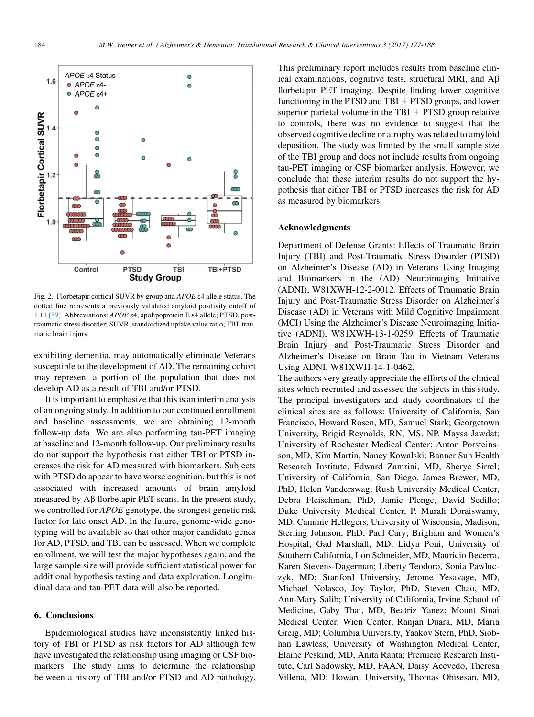<span id="page-7-0"></span>

Fig. 2. Florbetapir cortical SUVR by group and APOE ε4 allele status. The dotted line represents a previously validated amyloid positivity cutoff of 1.11 [\[89\].](#page-10-0) Abbreviations: APOE ε4, apolipoprotein E ε4 allele; PTSD, posttraumatic stress disorder; SUVR, standardized uptake value ratio; TBI, traumatic brain injury.

exhibiting dementia, may automatically eliminate Veterans susceptible to the development of AD. The remaining cohort may represent a portion of the population that does not develop AD as a result of TBI and/or PTSD.

It is important to emphasize that this is an interim analysis of an ongoing study. In addition to our continued enrollment and baseline assessments, we are obtaining 12-month follow-up data. We are also performing tau-PET imaging at baseline and 12-month follow-up. Our preliminary results do not support the hypothesis that either TBI or PTSD increases the risk for AD measured with biomarkers. Subjects with PTSD do appear to have worse cognition, but this is not associated with increased amounts of brain amyloid measured by  $\widehat{AB}$  florbetapir PET scans. In the present study, we controlled for APOE genotype, the strongest genetic risk factor for late onset AD. In the future, genome-wide genotyping will be available so that other major candidate genes for AD, PTSD, and TBI can be assessed. When we complete enrollment, we will test the major hypotheses again, and the large sample size will provide sufficient statistical power for additional hypothesis testing and data exploration. Longitudinal data and tau-PET data will also be reported.

### 6. Conclusions

Epidemiological studies have inconsistently linked history of TBI or PTSD as risk factors for AD although few have investigated the relationship using imaging or CSF biomarkers. The study aims to determine the relationship between a history of TBI and/or PTSD and AD pathology. This preliminary report includes results from baseline clinical examinations, cognitive tests, structural MRI, and  $\text{A}\beta$ florbetapir PET imaging. Despite finding lower cognitive functioning in the PTSD and  $TBI + PTSD$  groups, and lower superior parietal volume in the TBI  $+$  PTSD group relative to controls, there was no evidence to suggest that the observed cognitive decline or atrophy was related to amyloid deposition. The study was limited by the small sample size of the TBI group and does not include results from ongoing tau-PET imaging or CSF biomarker analysis. However, we conclude that these interim results do not support the hypothesis that either TBI or PTSD increases the risk for AD as measured by biomarkers.

# Acknowledgments

Department of Defense Grants: Effects of Traumatic Brain Injury (TBI) and Post-Traumatic Stress Disorder (PTSD) on Alzheimer's Disease (AD) in Veterans Using Imaging and Biomarkers in the (AD) Neuroimaging Initiative (ADNI), W81XWH-12-2-0012. Effects of Traumatic Brain Injury and Post-Traumatic Stress Disorder on Alzheimer's Disease (AD) in Veterans with Mild Cognitive Impairment (MCI) Using the Alzheimer's Disease Neuroimaging Initiative (ADNI), W81XWH-13-1-0259. Effects of Traumatic Brain Injury and Post-Traumatic Stress Disorder and Alzheimer's Disease on Brain Tau in Vietnam Veterans Using ADNI, W81XWH-14-1-0462.

The authors very greatly appreciate the efforts of the clinical sites which recruited and assessed the subjects in this study. The principal investigators and study coordinators of the clinical sites are as follows: University of California, San Francisco, Howard Rosen, MD, Samuel Stark; Georgetown University, Brigid Reynolds, RN, MS, NP, Maysa Jawdat; University of Rochester Medical Center; Anton Porsteinsson, MD, Kim Martin, Nancy Kowalski; Banner Sun Health Research Institute, Edward Zamrini, MD, Sherye Sirrel; University of California, San Diego, James Brewer, MD, PhD, Helen Vanderswag; Rush University Medical Center, Debra Fleischman, PhD, Jamie Plenge, David Sedillo; Duke University Medical Center, P. Murali Doraiswamy, MD, Cammie Hellegers; University of Wisconsin, Madison, Sterling Johnson, PhD, Paul Cary; Brigham and Women's Hospital, Gad Marshall, MD, Lidya Poni; University of Southern California, Lon Schneider, MD, Mauricio Becerra, Karen Stevens-Dagerman; Liberty Teodoro, Sonia Pawluczyk, MD; Stanford University, Jerome Yesavage, MD, Michael Nolasco, Joy Taylor, PhD, Steven Chao, MD, Ann-Mary Salib; University of California, Irvine School of Medicine, Gaby Thai, MD, Beatriz Yanez; Mount Sinai Medical Center, Wien Center, Ranjan Duara, MD, Maria Greig, MD; Columbia University, Yaakov Stern, PhD, Siobhan Lawless; University of Washington Medical Center, Elaine Peskind, MD, Anita Ranta; Premiere Research Institute, Carl Sadowsky, MD, FAAN, Daisy Acevedo, Theresa Villena, MD; Howard University, Thomas Obisesan, MD,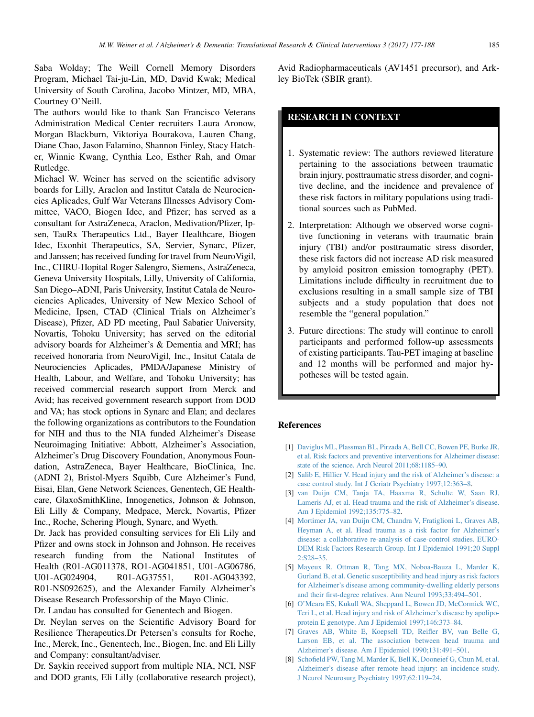<span id="page-8-0"></span>Saba Wolday; The Weill Cornell Memory Disorders Program, Michael Tai-ju-Lin, MD, David Kwak; Medical University of South Carolina, Jacobo Mintzer, MD, MBA, Courtney O'Neill.

The authors would like to thank San Francisco Veterans Administration Medical Center recruiters Laura Aronow, Morgan Blackburn, Viktoriya Bourakova, Lauren Chang, Diane Chao, Jason Falamino, Shannon Finley, Stacy Hatcher, Winnie Kwang, Cynthia Leo, Esther Rah, and Omar Rutledge.

Michael W. Weiner has served on the scientific advisory boards for Lilly, Araclon and Institut Catala de Neurociencies Aplicades, Gulf War Veterans Illnesses Advisory Committee, VACO, Biogen Idec, and Pfizer; has served as a consultant for AstraZeneca, Araclon, Medivation/Pfizer, Ipsen, TauRx Therapeutics Ltd., Bayer Healthcare, Biogen Idec, Exonhit Therapeutics, SA, Servier, Synarc, Pfizer, and Janssen; has received funding for travel from NeuroVigil, Inc., CHRU-Hopital Roger Salengro, Siemens, AstraZeneca, Geneva University Hospitals, Lilly, University of California, San Diego–ADNI, Paris University, Institut Catala de Neurociencies Aplicades, University of New Mexico School of Medicine, Ipsen, CTAD (Clinical Trials on Alzheimer's Disease), Pfizer, AD PD meeting, Paul Sabatier University, Novartis, Tohoku University; has served on the editorial advisory boards for Alzheimer's & Dementia and MRI; has received honoraria from NeuroVigil, Inc., Insitut Catala de Neurociencies Aplicades, PMDA/Japanese Ministry of Health, Labour, and Welfare, and Tohoku University; has received commercial research support from Merck and Avid; has received government research support from DOD and VA; has stock options in Synarc and Elan; and declares the following organizations as contributors to the Foundation for NIH and thus to the NIA funded Alzheimer's Disease Neuroimaging Initiative: Abbott, Alzheimer's Association, Alzheimer's Drug Discovery Foundation, Anonymous Foundation, AstraZeneca, Bayer Healthcare, BioClinica, Inc. (ADNI 2), Bristol-Myers Squibb, Cure Alzheimer's Fund, Eisai, Elan, Gene Network Sciences, Genentech, GE Healthcare, GlaxoSmithKline, Innogenetics, Johnson & Johnson, Eli Lilly & Company, Medpace, Merck, Novartis, Pfizer Inc., Roche, Schering Plough, Synarc, and Wyeth.

Dr. Jack has provided consulting services for Eli Lily and Pfizer and owns stock in Johnson and Johnson. He receives research funding from the National Institutes of Health (R01-AG011378, RO1-AG041851, U01-AG06786, U01-AG024904, R01-AG37551, R01-AG043392, R01-NS092625), and the Alexander Family Alzheimer's Disease Research Professorship of the Mayo Clinic.

Dr. Landau has consulted for Genentech and Biogen.

Dr. Neylan serves on the Scientific Advisory Board for Resilience Therapeutics.Dr Petersen's consults for Roche, Inc., Merck, Inc., Genentech, Inc., Biogen, Inc. and Eli Lilly and Company: consultant/adviser.

Dr. Saykin received support from multiple NIA, NCI, NSF and DOD grants, Eli Lilly (collaborative research project), Avid Radiopharmaceuticals (AV1451 precursor), and Arkley BioTek (SBIR grant).

# RESEARCH IN CONTEXT

- 1. Systematic review: The authors reviewed literature pertaining to the associations between traumatic brain injury, posttraumatic stress disorder, and cognitive decline, and the incidence and prevalence of these risk factors in military populations using traditional sources such as PubMed.
- 2. Interpretation: Although we observed worse cognitive functioning in veterans with traumatic brain injury (TBI) and/or posttraumatic stress disorder, these risk factors did not increase AD risk measured by amyloid positron emission tomography (PET). Limitations include difficulty in recruitment due to exclusions resulting in a small sample size of TBI subjects and a study population that does not resemble the "general population."
- 3. Future directions: The study will continue to enroll participants and performed follow-up assessments of existing participants. Tau-PET imaging at baseline and 12 months will be performed and major hypotheses will be tested again.

#### References

- [1] [Daviglus ML, Plassman BL, Pirzada A, Bell CC, Bowen PE, Burke JR,](http://refhub.elsevier.com/S2352-8737(17)30011-2/sref1) [et al. Risk factors and preventive interventions for Alzheimer disease:](http://refhub.elsevier.com/S2352-8737(17)30011-2/sref1) [state of the science. Arch Neurol 2011;68:1185–90](http://refhub.elsevier.com/S2352-8737(17)30011-2/sref1).
- [2] [Salib E, Hillier V. Head injury and the risk of Alzheimer's disease: a](http://refhub.elsevier.com/S2352-8737(17)30011-2/sref2) [case control study. Int J Geriatr Psychiatry 1997;12:363–8](http://refhub.elsevier.com/S2352-8737(17)30011-2/sref2).
- [3] [van Duijn CM, Tanja TA, Haaxma R, Schulte W, Saan RJ,](http://refhub.elsevier.com/S2352-8737(17)30011-2/sref3) [Lameris AJ, et al. Head trauma and the risk of Alzheimer's disease.](http://refhub.elsevier.com/S2352-8737(17)30011-2/sref3) [Am J Epidemiol 1992;135:775–82](http://refhub.elsevier.com/S2352-8737(17)30011-2/sref3).
- [4] [Mortimer JA, van Duijn CM, Chandra V, Fratiglioni L, Graves AB,](http://refhub.elsevier.com/S2352-8737(17)30011-2/sref4) [Heyman A, et al. Head trauma as a risk factor for Alzheimer's](http://refhub.elsevier.com/S2352-8737(17)30011-2/sref4) [disease: a collaborative re-analysis of case-control studies. EURO-](http://refhub.elsevier.com/S2352-8737(17)30011-2/sref4)[DEM Risk Factors Research Group. Int J Epidemiol 1991;20 Suppl](http://refhub.elsevier.com/S2352-8737(17)30011-2/sref4) [2:S28–35.](http://refhub.elsevier.com/S2352-8737(17)30011-2/sref4)
- [5] [Mayeux R, Ottman R, Tang MX, Noboa-Bauza L, Marder K,](http://refhub.elsevier.com/S2352-8737(17)30011-2/sref5) [Gurland B, et al. Genetic susceptibility and head injury as risk factors](http://refhub.elsevier.com/S2352-8737(17)30011-2/sref5) [for Alzheimer's disease among community-dwelling elderly persons](http://refhub.elsevier.com/S2352-8737(17)30011-2/sref5) [and their first-degree relatives. Ann Neurol 1993;33:494–501.](http://refhub.elsevier.com/S2352-8737(17)30011-2/sref5)
- [6] [O'Meara ES, Kukull WA, Sheppard L, Bowen JD, McCormick WC,](http://refhub.elsevier.com/S2352-8737(17)30011-2/sref6) [Teri L, et al. Head injury and risk of Alzheimer's disease by apolipo](http://refhub.elsevier.com/S2352-8737(17)30011-2/sref6)[protein E genotype. Am J Epidemiol 1997;146:373–84.](http://refhub.elsevier.com/S2352-8737(17)30011-2/sref6)
- [7] [Graves AB, White E, Koepsell TD, Reifler BV, van Belle G,](http://refhub.elsevier.com/S2352-8737(17)30011-2/sref7) [Larson EB, et al. The association between head trauma and](http://refhub.elsevier.com/S2352-8737(17)30011-2/sref7) [Alzheimer's disease. Am J Epidemiol 1990;131:491–501.](http://refhub.elsevier.com/S2352-8737(17)30011-2/sref7)
- [8] [Schofield PW, Tang M, Marder K, Bell K, Dooneief G, Chun M, et al.](http://refhub.elsevier.com/S2352-8737(17)30011-2/sref8) [Alzheimer's disease after remote head injury: an incidence study.](http://refhub.elsevier.com/S2352-8737(17)30011-2/sref8) [J Neurol Neurosurg Psychiatry 1997;62:119–24](http://refhub.elsevier.com/S2352-8737(17)30011-2/sref8).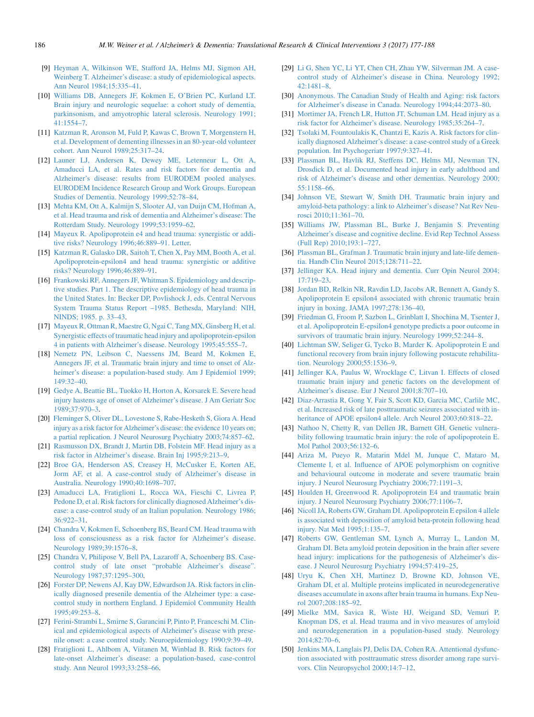- <span id="page-9-0"></span>[9] [Heyman A, Wilkinson WE, Stafford JA, Helms MJ, Sigmon AH,](http://refhub.elsevier.com/S2352-8737(17)30011-2/sref9) [Weinberg T. Alzheimer's disease: a study of epidemiological aspects.](http://refhub.elsevier.com/S2352-8737(17)30011-2/sref9) [Ann Neurol 1984;15:335–41.](http://refhub.elsevier.com/S2352-8737(17)30011-2/sref9)
- [10] [Williams DB, Annegers JF, Kokmen E, O'Brien PC, Kurland LT.](http://refhub.elsevier.com/S2352-8737(17)30011-2/sref10) [Brain injury and neurologic sequelae: a cohort study of dementia,](http://refhub.elsevier.com/S2352-8737(17)30011-2/sref10) [parkinsonism, and amyotrophic lateral sclerosis. Neurology 1991;](http://refhub.elsevier.com/S2352-8737(17)30011-2/sref10) [41:1554–7](http://refhub.elsevier.com/S2352-8737(17)30011-2/sref10).
- [11] [Katzman R, Aronson M, Fuld P, Kawas C, Brown T, Morgenstern H,](http://refhub.elsevier.com/S2352-8737(17)30011-2/sref11) [et al. Development of dementing illnesses in an 80-year-old volunteer](http://refhub.elsevier.com/S2352-8737(17)30011-2/sref11) [cohort. Ann Neurol 1989;25:317–24](http://refhub.elsevier.com/S2352-8737(17)30011-2/sref11).
- [12] [Launer LJ, Andersen K, Dewey ME, Letenneur L, Ott A,](http://refhub.elsevier.com/S2352-8737(17)30011-2/sref12) [Amaducci LA, et al. Rates and risk factors for dementia and](http://refhub.elsevier.com/S2352-8737(17)30011-2/sref12) [Alzheimer's disease: results from EURODEM pooled analyses.](http://refhub.elsevier.com/S2352-8737(17)30011-2/sref12) [EURODEM Incidence Research Group and Work Groups. European](http://refhub.elsevier.com/S2352-8737(17)30011-2/sref12) [Studies of Dementia. Neurology 1999;52:78–84](http://refhub.elsevier.com/S2352-8737(17)30011-2/sref12).
- [13] [Mehta KM, Ott A, Kalmijn S, Slooter AJ, van Duijn CM, Hofman A,](http://refhub.elsevier.com/S2352-8737(17)30011-2/sref13) [et al. Head trauma and risk of dementia and Alzheimer's disease: The](http://refhub.elsevier.com/S2352-8737(17)30011-2/sref13) [Rotterdam Study. Neurology 1999;53:1959–62.](http://refhub.elsevier.com/S2352-8737(17)30011-2/sref13)
- [14] [Mayeux R. Apolipoprotein e4 and head trauma: synergistic or addi](http://refhub.elsevier.com/S2352-8737(17)30011-2/sref14)[tive risks? Neurology 1996;46:889–91. Letter.](http://refhub.elsevier.com/S2352-8737(17)30011-2/sref14)
- [15] [Katzman R, Galasko DR, Saitoh T, Chen X, Pay MM, Booth A, et al.](http://refhub.elsevier.com/S2352-8737(17)30011-2/sref15) [Apolipoprotein-epsilon4 and head trauma: synergistic or additive](http://refhub.elsevier.com/S2352-8737(17)30011-2/sref15) [risks? Neurology 1996;46:889–91](http://refhub.elsevier.com/S2352-8737(17)30011-2/sref15).
- [16] [Frankowski RF, Annegers JF, Whitman S. Epidemiology and descrip](http://refhub.elsevier.com/S2352-8737(17)30011-2/sref16)[tive studies. Part 1. The descriptive epidemiology of head trauma in](http://refhub.elsevier.com/S2352-8737(17)30011-2/sref16) [the United States. In: Becker DP, Povlishock J, eds. Central Nervous](http://refhub.elsevier.com/S2352-8737(17)30011-2/sref16) [System Trauma Status Report –1985. Bethesda, Maryland: NIH,](http://refhub.elsevier.com/S2352-8737(17)30011-2/sref16) [NINDS; 1985. p. 33–43.](http://refhub.elsevier.com/S2352-8737(17)30011-2/sref16)
- [17] [Mayeux R, Ottman R, Maestre G, Ngai C, Tang MX, Ginsberg H, et al.](http://refhub.elsevier.com/S2352-8737(17)30011-2/sref17) [Synergistic effects of traumatic head injury and apolipoprotein-epsilon](http://refhub.elsevier.com/S2352-8737(17)30011-2/sref17) [4 in patients with Alzheimer's disease. Neurology 1995;45:555–7.](http://refhub.elsevier.com/S2352-8737(17)30011-2/sref17)
- [18] [Nemetz PN, Leibson C, Naessens JM, Beard M, Kokmen E,](http://refhub.elsevier.com/S2352-8737(17)30011-2/sref18) [Annegers JF, et al. Traumatic brain injury and time to onset of Alz](http://refhub.elsevier.com/S2352-8737(17)30011-2/sref18)[heimer's disease: a population-based study. Am J Epidemiol 1999;](http://refhub.elsevier.com/S2352-8737(17)30011-2/sref18)  $149:32 - 40.$
- [19] [Gedye A, Beattie BL, Tuokko H, Horton A, Korsarek E. Severe head](http://refhub.elsevier.com/S2352-8737(17)30011-2/sref19) [injury hastens age of onset of Alzheimer's disease. J Am Geriatr Soc](http://refhub.elsevier.com/S2352-8737(17)30011-2/sref19) [1989;37:970–3](http://refhub.elsevier.com/S2352-8737(17)30011-2/sref19).
- [20] [Fleminger S, Oliver DL, Lovestone S, Rabe-Hesketh S, Giora A. Head](http://refhub.elsevier.com/S2352-8737(17)30011-2/sref20) [injury as a risk factor for Alzheimer's disease: the evidence 10 years on;](http://refhub.elsevier.com/S2352-8737(17)30011-2/sref20) [a partial replication. J Neurol Neurosurg Psychiatry 2003;74:857–62.](http://refhub.elsevier.com/S2352-8737(17)30011-2/sref20)
- [21] [Rasmusson DX, Brandt J, Martin DB, Folstein MF. Head injury as a](http://refhub.elsevier.com/S2352-8737(17)30011-2/sref21) [risk factor in Alzheimer's disease. Brain Inj 1995;9:213–9](http://refhub.elsevier.com/S2352-8737(17)30011-2/sref21).
- [22] [Broe GA, Henderson AS, Creasey H, McCusker E, Korten AE,](http://refhub.elsevier.com/S2352-8737(17)30011-2/sref22) [Jorm AF, et al. A case-control study of Alzheimer's disease in](http://refhub.elsevier.com/S2352-8737(17)30011-2/sref22) [Australia. Neurology 1990;40:1698–707.](http://refhub.elsevier.com/S2352-8737(17)30011-2/sref22)
- [23] [Amaducci LA, Fratiglioni L, Rocca WA, Fieschi C, Livrea P,](http://refhub.elsevier.com/S2352-8737(17)30011-2/sref23) [Pedone D, et al. Risk factors for clinically diagnosed Alzheimer's dis](http://refhub.elsevier.com/S2352-8737(17)30011-2/sref23)[ease: a case-control study of an Italian population. Neurology 1986;](http://refhub.elsevier.com/S2352-8737(17)30011-2/sref23) [36:922–31](http://refhub.elsevier.com/S2352-8737(17)30011-2/sref23).
- [24] [Chandra V, Kokmen E, Schoenberg BS, Beard CM. Head trauma with](http://refhub.elsevier.com/S2352-8737(17)30011-2/sref24) [loss of consciousness as a risk factor for Alzheimer's disease.](http://refhub.elsevier.com/S2352-8737(17)30011-2/sref24) [Neurology 1989;39:1576–8.](http://refhub.elsevier.com/S2352-8737(17)30011-2/sref24)
- [25] [Chandra V, Philipose V, Bell PA, Lazaroff A, Schoenberg BS. Case](http://refhub.elsevier.com/S2352-8737(17)30011-2/sref25)[control study of late onset "probable Alzheimer's disease".](http://refhub.elsevier.com/S2352-8737(17)30011-2/sref25) [Neurology 1987;37:1295–300](http://refhub.elsevier.com/S2352-8737(17)30011-2/sref25).
- [26] [Forster DP, Newens AJ, Kay DW, Edwardson JA. Risk factors in clin](http://refhub.elsevier.com/S2352-8737(17)30011-2/sref26)[ically diagnosed presenile dementia of the Alzheimer type: a case](http://refhub.elsevier.com/S2352-8737(17)30011-2/sref26)[control study in northern England. J Epidemiol Community Health](http://refhub.elsevier.com/S2352-8737(17)30011-2/sref26) [1995;49:253–8](http://refhub.elsevier.com/S2352-8737(17)30011-2/sref26).
- [27] [Ferini-Strambi L, Smirne S, Garancini P, Pinto P, Franceschi M. Clin](http://refhub.elsevier.com/S2352-8737(17)30011-2/sref27)[ical and epidemiological aspects of Alzheimer's disease with prese](http://refhub.elsevier.com/S2352-8737(17)30011-2/sref27)[nile onset: a case control study. Neuroepidemiology 1990;9:39–49](http://refhub.elsevier.com/S2352-8737(17)30011-2/sref27).
- [28] [Fratiglioni L, Ahlbom A, Viitanen M, Winblad B. Risk factors for](http://refhub.elsevier.com/S2352-8737(17)30011-2/sref28) [late-onset Alzheimer's disease: a population-based, case-control](http://refhub.elsevier.com/S2352-8737(17)30011-2/sref28) [study. Ann Neurol 1993;33:258–66](http://refhub.elsevier.com/S2352-8737(17)30011-2/sref28).
- [29] [Li G, Shen YC, Li YT, Chen CH, Zhau YW, Silverman JM. A case](http://refhub.elsevier.com/S2352-8737(17)30011-2/sref29)[control study of Alzheimer's disease in China. Neurology 1992;](http://refhub.elsevier.com/S2352-8737(17)30011-2/sref29) [42:1481–8](http://refhub.elsevier.com/S2352-8737(17)30011-2/sref29).
- [30] [Anonymous. The Canadian Study of Health and Aging: risk factors](http://refhub.elsevier.com/S2352-8737(17)30011-2/sref30) [for Alzheimer's disease in Canada. Neurology 1994;44:2073–80](http://refhub.elsevier.com/S2352-8737(17)30011-2/sref30).
- [31] [Mortimer JA, French LR, Hutton JT, Schuman LM. Head injury as a](http://refhub.elsevier.com/S2352-8737(17)30011-2/sref31) [risk factor for Alzheimer's disease. Neurology 1985;35:264–7.](http://refhub.elsevier.com/S2352-8737(17)30011-2/sref31)
- [32] [Tsolaki M, Fountoulakis K, Chantzi E, Kazis A. Risk factors for clin](http://refhub.elsevier.com/S2352-8737(17)30011-2/sref32)[ically diagnosed Alzheimer's disease: a case-control study of a Greek](http://refhub.elsevier.com/S2352-8737(17)30011-2/sref32) [population. Int Psychogeriatr 1997;9:327–41.](http://refhub.elsevier.com/S2352-8737(17)30011-2/sref32)
- [33] [Plassman BL, Havlik RJ, Steffens DC, Helms MJ, Newman TN,](http://refhub.elsevier.com/S2352-8737(17)30011-2/sref33) [Drosdick D, et al. Documented head injury in early adulthood and](http://refhub.elsevier.com/S2352-8737(17)30011-2/sref33) [risk of Alzheimer's disease and other dementias. Neurology 2000;](http://refhub.elsevier.com/S2352-8737(17)30011-2/sref33) [55:1158–66](http://refhub.elsevier.com/S2352-8737(17)30011-2/sref33).
- [34] [Johnson VE, Stewart W, Smith DH. Traumatic brain injury and](http://refhub.elsevier.com/S2352-8737(17)30011-2/sref34) [amyloid-beta pathology: a link to Alzheimer's disease? Nat Rev Neu](http://refhub.elsevier.com/S2352-8737(17)30011-2/sref34)[rosci 2010;11:361–70](http://refhub.elsevier.com/S2352-8737(17)30011-2/sref34).
- [35] [Williams JW, Plassman BL, Burke J, Benjamin S. Preventing](http://refhub.elsevier.com/S2352-8737(17)30011-2/sref35) [Alzheimer's disease and cognitive decline. Evid Rep Technol Assess](http://refhub.elsevier.com/S2352-8737(17)30011-2/sref35) [\(Full Rep\) 2010;193:1–727.](http://refhub.elsevier.com/S2352-8737(17)30011-2/sref35)
- [36] [Plassman BL, Grafman J. Traumatic brain injury and late-life demen](http://refhub.elsevier.com/S2352-8737(17)30011-2/sref36)[tia. Handb Clin Neurol 2015;128:711–22](http://refhub.elsevier.com/S2352-8737(17)30011-2/sref36).
- [37] [Jellinger KA. Head injury and dementia. Curr Opin Neurol 2004;](http://refhub.elsevier.com/S2352-8737(17)30011-2/sref37) [17:719–23](http://refhub.elsevier.com/S2352-8737(17)30011-2/sref37).
- [38] [Jordan BD, Relkin NR, Ravdin LD, Jacobs AR, Bennett A, Gandy S.](http://refhub.elsevier.com/S2352-8737(17)30011-2/sref38) [Apolipoprotein E epsilon4 associated with chronic traumatic brain](http://refhub.elsevier.com/S2352-8737(17)30011-2/sref38) [injury in boxing. JAMA 1997;278:136–40.](http://refhub.elsevier.com/S2352-8737(17)30011-2/sref38)
- [39] [Friedman G, Froom P, Sazbon L, Grinblatt I, Shochina M, Tsenter J,](http://refhub.elsevier.com/S2352-8737(17)30011-2/sref39) [et al. Apolipoprotein E-epsilon4 genotype predicts a poor outcome in](http://refhub.elsevier.com/S2352-8737(17)30011-2/sref39) [survivors of traumatic brain injury. Neurology 1999;52:244–8.](http://refhub.elsevier.com/S2352-8737(17)30011-2/sref39)
- [40] [Lichtman SW, Seliger G, Tycko B, Marder K. Apolipoprotein E and](http://refhub.elsevier.com/S2352-8737(17)30011-2/sref40) [functional recovery from brain injury following postacute rehabilita](http://refhub.elsevier.com/S2352-8737(17)30011-2/sref40)[tion. Neurology 2000;55:1536–9](http://refhub.elsevier.com/S2352-8737(17)30011-2/sref40).
- [41] [Jellinger KA, Paulus W, Wrocklage C, Litvan I. Effects of closed](http://refhub.elsevier.com/S2352-8737(17)30011-2/sref41) [traumatic brain injury and genetic factors on the development of](http://refhub.elsevier.com/S2352-8737(17)30011-2/sref41) [Alzheimer's disease. Eur J Neurol 2001;8:707–10](http://refhub.elsevier.com/S2352-8737(17)30011-2/sref41).
- [42] [Diaz-Arrastia R, Gong Y, Fair S, Scott KD, Garcia MC, Carlile MC,](http://refhub.elsevier.com/S2352-8737(17)30011-2/sref42) [et al. Increased risk of late posttraumatic seizures associated with in](http://refhub.elsevier.com/S2352-8737(17)30011-2/sref42)heritance of APOE epsilon4 allele. Arch Neurol 2003;60:818-22.
- [43] [Nathoo N, Chetty R, van Dellen JR, Barnett GH. Genetic vulnera](http://refhub.elsevier.com/S2352-8737(17)30011-2/sref43)[bility following traumatic brain injury: the role of apolipoprotein E.](http://refhub.elsevier.com/S2352-8737(17)30011-2/sref43) [Mol Pathol 2003;56:132–6](http://refhub.elsevier.com/S2352-8737(17)30011-2/sref43).
- [44] [Ariza M, Pueyo R, Matarin Mdel M, Junque C, Mataro M,](http://refhub.elsevier.com/S2352-8737(17)30011-2/sref44) [Clemente I, et al. Influence of APOE polymorphism on cognitive](http://refhub.elsevier.com/S2352-8737(17)30011-2/sref44) [and behavioural outcome in moderate and severe traumatic brain](http://refhub.elsevier.com/S2352-8737(17)30011-2/sref44) [injury. J Neurol Neurosurg Psychiatry 2006;77:1191–3](http://refhub.elsevier.com/S2352-8737(17)30011-2/sref44).
- [45] [Houlden H, Greenwood R. Apolipoprotein E4 and traumatic brain](http://refhub.elsevier.com/S2352-8737(17)30011-2/sref45) [injury. J Neurol Neurosurg Psychiatry 2006;77:1106–7](http://refhub.elsevier.com/S2352-8737(17)30011-2/sref45).
- [46] [Nicoll JA, Roberts GW, Graham DI. Apolipoprotein E epsilon 4 allele](http://refhub.elsevier.com/S2352-8737(17)30011-2/sref46) [is associated with deposition of amyloid beta-protein following head](http://refhub.elsevier.com/S2352-8737(17)30011-2/sref46) [injury. Nat Med 1995;1:135–7.](http://refhub.elsevier.com/S2352-8737(17)30011-2/sref46)
- [47] [Roberts GW, Gentleman SM, Lynch A, Murray L, Landon M,](http://refhub.elsevier.com/S2352-8737(17)30011-2/sref47) [Graham DI. Beta amyloid protein deposition in the brain after severe](http://refhub.elsevier.com/S2352-8737(17)30011-2/sref47) [head injury: implications for the pathogenesis of Alzheimer's dis](http://refhub.elsevier.com/S2352-8737(17)30011-2/sref47)[ease. J Neurol Neurosurg Psychiatry 1994;57:419–25](http://refhub.elsevier.com/S2352-8737(17)30011-2/sref47).
- [48] [Uryu K, Chen XH, Martinez D, Browne KD, Johnson VE,](http://refhub.elsevier.com/S2352-8737(17)30011-2/sref48) [Graham DI, et al. Multiple proteins implicated in neurodegenerative](http://refhub.elsevier.com/S2352-8737(17)30011-2/sref48) [diseases accumulate in axons after brain trauma in humans. Exp Neu](http://refhub.elsevier.com/S2352-8737(17)30011-2/sref48)[rol 2007;208:185–92](http://refhub.elsevier.com/S2352-8737(17)30011-2/sref48).
- [49] [Mielke MM, Savica R, Wiste HJ, Weigand SD, Vemuri P,](http://refhub.elsevier.com/S2352-8737(17)30011-2/sref49) [Knopman DS, et al. Head trauma and in vivo measures of amyloid](http://refhub.elsevier.com/S2352-8737(17)30011-2/sref49) [and neurodegeneration in a population-based study. Neurology](http://refhub.elsevier.com/S2352-8737(17)30011-2/sref49) [2014;82:70–6](http://refhub.elsevier.com/S2352-8737(17)30011-2/sref49).
- [50] [Jenkins MA, Langlais PJ, Delis DA, Cohen RA. Attentional dysfunc](http://refhub.elsevier.com/S2352-8737(17)30011-2/sref50)[tion associated with posttraumatic stress disorder among rape survi](http://refhub.elsevier.com/S2352-8737(17)30011-2/sref50)[vors. Clin Neuropsychol 2000;14:7–12.](http://refhub.elsevier.com/S2352-8737(17)30011-2/sref50)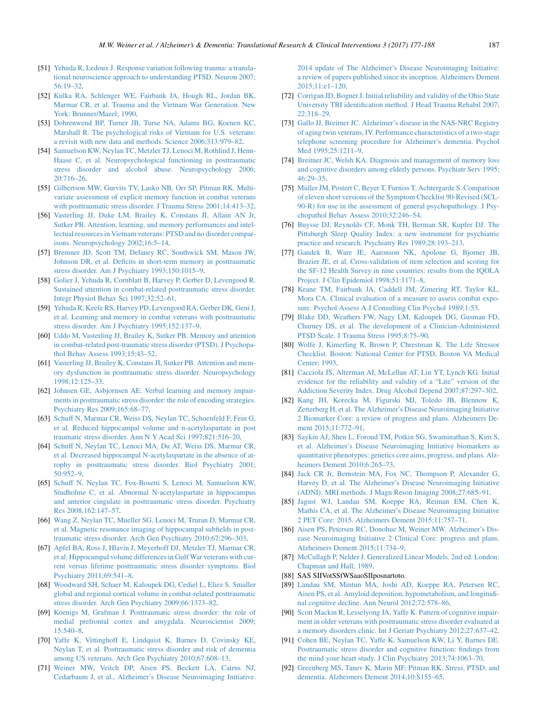- <span id="page-10-0"></span>[51] [Yehuda R, Ledoux J. Response variation following trauma: a transla](http://refhub.elsevier.com/S2352-8737(17)30011-2/sref51)[tional neuroscience approach to understanding PTSD. Neuron 2007;](http://refhub.elsevier.com/S2352-8737(17)30011-2/sref51) [56:19–32](http://refhub.elsevier.com/S2352-8737(17)30011-2/sref51).
- [52] [Kulka RA, Schlenger WE, Fairbank JA, Hough RL, Jordan BK,](http://refhub.elsevier.com/S2352-8737(17)30011-2/sref52) [Marmar CR, et al. Trauma and the Vietnam War Generation. New](http://refhub.elsevier.com/S2352-8737(17)30011-2/sref52) [York: Brunner/Mazel; 1990.](http://refhub.elsevier.com/S2352-8737(17)30011-2/sref52)
- [53] [Dohrenwend BP, Turner JB, Turse NA, Adams BG, Koenen KC,](http://refhub.elsevier.com/S2352-8737(17)30011-2/sref53) [Marshall R. The psychological risks of Vietnam for U.S. veterans:](http://refhub.elsevier.com/S2352-8737(17)30011-2/sref53) [a revisit with new data and methods. Science 2006;313:979–82](http://refhub.elsevier.com/S2352-8737(17)30011-2/sref53).
- [54] [Samuelson KW, Neylan TC, Metzler TJ, Lenoci M, Rothlind J, Henn-](http://refhub.elsevier.com/S2352-8737(17)30011-2/sref54)[Haase C, et al. Neuropsychological functioning in posttraumatic](http://refhub.elsevier.com/S2352-8737(17)30011-2/sref54) [stress disorder and alcohol abuse. Neuropsychology 2006;](http://refhub.elsevier.com/S2352-8737(17)30011-2/sref54) [20:716–26](http://refhub.elsevier.com/S2352-8737(17)30011-2/sref54).
- [55] [Gilbertson MW, Gurvits TV, Lasko NB, Orr SP, Pitman RK. Multi](http://refhub.elsevier.com/S2352-8737(17)30011-2/sref55)[variate assessment of explicit memory function in combat veterans](http://refhub.elsevier.com/S2352-8737(17)30011-2/sref55) [with posttraumatic stress disorder. J Trauma Stress 2001;14:413–32](http://refhub.elsevier.com/S2352-8737(17)30011-2/sref55).
- [56] [Vasterling JJ, Duke LM, Brailey K, Constans JI, Allain AN Jr,](http://refhub.elsevier.com/S2352-8737(17)30011-2/sref56) [Sutker PB. Attention, learning, and memory performances and intel](http://refhub.elsevier.com/S2352-8737(17)30011-2/sref56)[lectual resources in Vietnam veterans: PTSD and no disorder compar](http://refhub.elsevier.com/S2352-8737(17)30011-2/sref56)[isons. Neuropsychology 2002;16:5–14.](http://refhub.elsevier.com/S2352-8737(17)30011-2/sref56)
- [57] [Bremner JD, Scott TM, Delaney RC, Southwick SM, Mason JW,](http://refhub.elsevier.com/S2352-8737(17)30011-2/sref57) [Johnson DR, et al. Deficits in short-term memory in posttraumatic](http://refhub.elsevier.com/S2352-8737(17)30011-2/sref57) [stress disorder. Am J Psychiatry 1993;150:1015–9](http://refhub.elsevier.com/S2352-8737(17)30011-2/sref57).
- [58] [Golier J, Yehuda R, Cornblatt B, Harvey P, Gerber D, Levengood R.](http://refhub.elsevier.com/S2352-8737(17)30011-2/sref58) [Sustained attention in combat-related posttraumatic stress disorder.](http://refhub.elsevier.com/S2352-8737(17)30011-2/sref58) [Integr Physiol Behav Sci 1997;32:52–61.](http://refhub.elsevier.com/S2352-8737(17)30011-2/sref58)
- [59] [Yehuda R, Keefe RS, Harvey PD, Levengood RA, Gerber DK, Geni J,](http://refhub.elsevier.com/S2352-8737(17)30011-2/sref59) [et al. Learning and memory in combat veterans with posttraumatic](http://refhub.elsevier.com/S2352-8737(17)30011-2/sref59) [stress disorder. Am J Psychiatry 1995;152:137–9](http://refhub.elsevier.com/S2352-8737(17)30011-2/sref59).
- [60] [Uddo M, Vasterling JJ, Brailey K, Sutker PB. Memory and attention](http://refhub.elsevier.com/S2352-8737(17)30011-2/sref60) [in combat-related post-traumatic stress disorder \(PTSD\). J Psychopa](http://refhub.elsevier.com/S2352-8737(17)30011-2/sref60)[thol Behav Assess 1993;15:43–52](http://refhub.elsevier.com/S2352-8737(17)30011-2/sref60).
- [61] [Vasterling JJ, Brailey K, Constans JI, Sutker PB. Attention and mem](http://refhub.elsevier.com/S2352-8737(17)30011-2/sref61)[ory dysfunction in posttraumatic stress disorder. Neuropsychology](http://refhub.elsevier.com/S2352-8737(17)30011-2/sref61) [1998;12:125–33](http://refhub.elsevier.com/S2352-8737(17)30011-2/sref61).
- [62] [Johnsen GE, Asbjornsen AE. Verbal learning and memory impair](http://refhub.elsevier.com/S2352-8737(17)30011-2/sref62)[ments in posttraumatic stress disorder: the role of encoding strategies.](http://refhub.elsevier.com/S2352-8737(17)30011-2/sref62) [Psychiatry Res 2009;165:68–77](http://refhub.elsevier.com/S2352-8737(17)30011-2/sref62).
- [63] [Schuff N, Marmar CR, Weiss DS, Neylan TC, Schoenfeld F, Fein G,](http://refhub.elsevier.com/S2352-8737(17)30011-2/sref63) [et al. Reduced hippocampal volume and n-acetylaspartate in post](http://refhub.elsevier.com/S2352-8737(17)30011-2/sref63) [traumatic stress disorder. Ann N Y Acad Sci 1997;821:516–20.](http://refhub.elsevier.com/S2352-8737(17)30011-2/sref63)
- [64] [Schuff N, Neylan TC, Lenoci MA, Du AT, Weiss DS, Marmar CR,](http://refhub.elsevier.com/S2352-8737(17)30011-2/sref64) [et al. Decreased hippocampal N-acetylaspartate in the absence of at](http://refhub.elsevier.com/S2352-8737(17)30011-2/sref64)[rophy in posttraumatic stress disorder. Biol Psychiatry 2001;](http://refhub.elsevier.com/S2352-8737(17)30011-2/sref64) [50:952–9](http://refhub.elsevier.com/S2352-8737(17)30011-2/sref64).
- [65] [Schuff N, Neylan TC, Fox-Bosetti S, Lenoci M, Samuelson KW,](http://refhub.elsevier.com/S2352-8737(17)30011-2/sref65) [Studholme C, et al. Abnormal N-acetylaspartate in hippocampus](http://refhub.elsevier.com/S2352-8737(17)30011-2/sref65) [and anterior cingulate in posttraumatic stress disorder. Psychiatry](http://refhub.elsevier.com/S2352-8737(17)30011-2/sref65) [Res 2008;162:147–57](http://refhub.elsevier.com/S2352-8737(17)30011-2/sref65).
- [66] [Wang Z, Neylan TC, Mueller SG, Lenoci M, Truran D, Marmar CR,](http://refhub.elsevier.com/S2352-8737(17)30011-2/sref66) [et al. Magnetic resonance imaging of hippocampal subfields in post](http://refhub.elsevier.com/S2352-8737(17)30011-2/sref66)[traumatic stress disorder. Arch Gen Psychiatry 2010;67:296–303.](http://refhub.elsevier.com/S2352-8737(17)30011-2/sref66)
- [67] [Apfel BA, Ross J, Hlavin J, Meyerhoff DJ, Metzler TJ, Marmar CR,](http://refhub.elsevier.com/S2352-8737(17)30011-2/sref67) [et al. Hippocampal volume differences in Gulf War veterans with cur](http://refhub.elsevier.com/S2352-8737(17)30011-2/sref67)[rent versus lifetime posttraumatic stress disorder symptoms. Biol](http://refhub.elsevier.com/S2352-8737(17)30011-2/sref67) [Psychiatry 2011;69:541–8](http://refhub.elsevier.com/S2352-8737(17)30011-2/sref67).
- [68] [Woodward SH, Schaer M, Kaloupek DG, Cediel L, Eliez S. Smaller](http://refhub.elsevier.com/S2352-8737(17)30011-2/sref68) [global and regional cortical volume in combat-related posttraumatic](http://refhub.elsevier.com/S2352-8737(17)30011-2/sref68) [stress disorder. Arch Gen Psychiatry 2009;66:1373–82](http://refhub.elsevier.com/S2352-8737(17)30011-2/sref68).
- [69] [Koenigs M, Grafman J. Posttraumatic stress disorder: the role of](http://refhub.elsevier.com/S2352-8737(17)30011-2/sref69) [medial prefrontal cortex and amygdala. Neuroscientist 2009;](http://refhub.elsevier.com/S2352-8737(17)30011-2/sref69) [15:540–8](http://refhub.elsevier.com/S2352-8737(17)30011-2/sref69).
- [70] [Yaffe K, Vittinghoff E, Lindquist K, Barnes D, Covinsky KE,](http://refhub.elsevier.com/S2352-8737(17)30011-2/sref70) [Neylan T, et al. Posttraumatic stress disorder and risk of dementia](http://refhub.elsevier.com/S2352-8737(17)30011-2/sref70) [among US veterans. Arch Gen Psychiatry 2010;67:608–13.](http://refhub.elsevier.com/S2352-8737(17)30011-2/sref70)
- [71] [Weiner MW, Veitch DP, Aisen PS, Beckett LA, Cairns NJ,](http://refhub.elsevier.com/S2352-8737(17)30011-2/sref71) [Cedarbaum J, et al., Alzheimer's Disease Neuroimaging Initiative.](http://refhub.elsevier.com/S2352-8737(17)30011-2/sref71)

[2014 update of The Alzheimer's Disease Neuroimaging Initiative:](http://refhub.elsevier.com/S2352-8737(17)30011-2/sref71) [a review of papers published since its inception. Alzheimers Dement](http://refhub.elsevier.com/S2352-8737(17)30011-2/sref71) [2015;11:e1–120.](http://refhub.elsevier.com/S2352-8737(17)30011-2/sref71)

- [72] [Corrigan JD, Bogner J. Initial reliability and validity of the Ohio State](http://refhub.elsevier.com/S2352-8737(17)30011-2/sref72) [University TBI identification method. J Head Trauma Rehabil 2007;](http://refhub.elsevier.com/S2352-8737(17)30011-2/sref72) [22:318–29](http://refhub.elsevier.com/S2352-8737(17)30011-2/sref72).
- [73] [Gallo JJ, Breitner JC. Alzheimer's disease in the NAS-NRC Registry](http://refhub.elsevier.com/S2352-8737(17)30011-2/sref73) [of aging twin veterans, IV. Performance characteristics of a two-stage](http://refhub.elsevier.com/S2352-8737(17)30011-2/sref73) [telephone screening procedure for Alzheimer's dementia. Psychol](http://refhub.elsevier.com/S2352-8737(17)30011-2/sref73) Med 1995;25:1211-9.
- [74] [Breitner JC, Welsh KA. Diagnosis and management of memory loss](http://refhub.elsevier.com/S2352-8737(17)30011-2/sref74) [and cognitive disorders among elderly persons. Psychiatr Serv 1995;](http://refhub.elsevier.com/S2352-8737(17)30011-2/sref74) [46:29–35](http://refhub.elsevier.com/S2352-8737(17)30011-2/sref74).
- [75] [M](http://refhub.elsevier.com/S2352-8737(17)30011-2/sref75)üller JM, Postert C, Beyer T, Furniss T, Achtergarde S. Comparison [of eleven short versions of the Symptom Checklist 90-Revised \(SCL-](http://refhub.elsevier.com/S2352-8737(17)30011-2/sref75)[90-R\) for use in the assessment of general psychopathology. J Psy](http://refhub.elsevier.com/S2352-8737(17)30011-2/sref75)[chopathol Behav Assess 2010;32:246–54](http://refhub.elsevier.com/S2352-8737(17)30011-2/sref75).
- [76] [Buysse DJ, Reynolds CF, Monk TH, Berman SR, Kupfer DJ. The](http://refhub.elsevier.com/S2352-8737(17)30011-2/sref76) [Pittsburgh Sleep Quality Index: a new instrument for psychiatric](http://refhub.elsevier.com/S2352-8737(17)30011-2/sref76) [practice and research. Psychiatry Res 1989;28:193–213](http://refhub.elsevier.com/S2352-8737(17)30011-2/sref76).
- [77] [Gandek B, Ware JE, Aaronson NK, Apolone G, Bjorner JB,](http://refhub.elsevier.com/S2352-8737(17)30011-2/sref77) [Brazier JE, et al. Cross-validation of item selection and scoring for](http://refhub.elsevier.com/S2352-8737(17)30011-2/sref77) [the SF-12 Health Survey in nine countries: results from the IQOLA](http://refhub.elsevier.com/S2352-8737(17)30011-2/sref77) [Project. J Clin Epidemiol 1998;51:1171–8.](http://refhub.elsevier.com/S2352-8737(17)30011-2/sref77)
- [78] [Keane TM, Fairbank JA, Caddell JM, Zimering RT, Taylor KL,](http://refhub.elsevier.com/S2352-8737(17)30011-2/sref78) [Mora CA. Clinical evaluation of a measure to assess combat expo](http://refhub.elsevier.com/S2352-8737(17)30011-2/sref78)[sure. Psychol Assess A J Consulting Clin Psychol 1989;1:53.](http://refhub.elsevier.com/S2352-8737(17)30011-2/sref78)
- [79] [Blake DD, Weathers FW, Nagy LM, Kaloupek DG, Gusman FD,](http://refhub.elsevier.com/S2352-8737(17)30011-2/sref79) [Charney DS, et al. The development of a Clinician-Administered](http://refhub.elsevier.com/S2352-8737(17)30011-2/sref79) [PTSD Scale. J Trauma Stress 1995;8:75–90.](http://refhub.elsevier.com/S2352-8737(17)30011-2/sref79)
- [80] [Wolfe J, Kimerling R, Brown P, Chrestman K. The Life Stressor](http://refhub.elsevier.com/S2352-8737(17)30011-2/sref80) [Checklist. Boston: National Center for PTSD, Boston VA Medical](http://refhub.elsevier.com/S2352-8737(17)30011-2/sref80) [Center; 1993.](http://refhub.elsevier.com/S2352-8737(17)30011-2/sref80)
- [81] [Cacciola JS, Alterman AI, McLellan AT, Lin YT, Lynch KG. Initial](http://refhub.elsevier.com/S2352-8737(17)30011-2/sref81) [evidence for the reliability and validity of a "Lite" version of the](http://refhub.elsevier.com/S2352-8737(17)30011-2/sref81) [Addiction Severity Index. Drug Alcohol Depend 2007;87:297–302.](http://refhub.elsevier.com/S2352-8737(17)30011-2/sref81)
- [82] [Kang JH, Korecka M, Figurski MJ, Toledo JB, Blennow K,](http://refhub.elsevier.com/S2352-8737(17)30011-2/sref82) [Zetterberg H, et al. The Alzheimer's Disease Neuroimaging Initiative](http://refhub.elsevier.com/S2352-8737(17)30011-2/sref82) [2 Biomarker Core: a review of progress and plans. Alzheimers De](http://refhub.elsevier.com/S2352-8737(17)30011-2/sref82)[ment 2015;11:772–91.](http://refhub.elsevier.com/S2352-8737(17)30011-2/sref82)
- [83] [Saykin AJ, Shen L, Foroud TM, Potkin SG, Swaminathan S, Kim S,](http://refhub.elsevier.com/S2352-8737(17)30011-2/sref83) [et al. Alzheimer's Disease Neuroimaging Initiative biomarkers as](http://refhub.elsevier.com/S2352-8737(17)30011-2/sref83) [quantitative phenotypes: genetics core aims, progress, and plans. Alz](http://refhub.elsevier.com/S2352-8737(17)30011-2/sref83)[heimers Dement 2010;6:265–73](http://refhub.elsevier.com/S2352-8737(17)30011-2/sref83).
- [84] [Jack CR Jr, Bernstein MA, Fox NC, Thompson P, Alexander G,](http://refhub.elsevier.com/S2352-8737(17)30011-2/sref84) [Harvey D, et al. The Alzheimer's Disease Neuroimaging Initiative](http://refhub.elsevier.com/S2352-8737(17)30011-2/sref84) [\(ADNI\): MRI methods. J Magn Reson Imaging 2008;27:685–91](http://refhub.elsevier.com/S2352-8737(17)30011-2/sref84).
- [85] [Jagust WJ, Landau SM, Koeppe RA, Reiman EM, Chen K,](http://refhub.elsevier.com/S2352-8737(17)30011-2/sref85) [Mathis CA, et al. The Alzheimer's Disease Neuroimaging Initiative](http://refhub.elsevier.com/S2352-8737(17)30011-2/sref85) [2 PET Core: 2015. Alzheimers Dement 2015;11:757–71](http://refhub.elsevier.com/S2352-8737(17)30011-2/sref85).
- [86] [Aisen PS, Petersen RC, Donohue M, Weiner MW. Alzheimer's Dis](http://refhub.elsevier.com/S2352-8737(17)30011-2/sref86)[ease Neuroimaging Initiative 2 Clinical Core: progress and plans.](http://refhub.elsevier.com/S2352-8737(17)30011-2/sref86) [Alzheimers Dement 2015;11:734–9.](http://refhub.elsevier.com/S2352-8737(17)30011-2/sref86)
- [87] [McCullagh P, Nelder J. Generalized Linear Models. 2nd ed. London:](http://refhub.elsevier.com/S2352-8737(17)30011-2/sref87) [Chapman and Hall; 1989.](http://refhub.elsevier.com/S2352-8737(17)30011-2/sref87)
- [88] SAS SIIVotSSfWSaaoSIIposnartoto.
- [89] [Landau SM, Mintun MA, Joshi AD, Koeppe RA, Petersen RC,](http://refhub.elsevier.com/S2352-8737(17)30011-2/sref89) [Aisen PS, et al. Amyloid deposition, hypometabolism, and longitudi](http://refhub.elsevier.com/S2352-8737(17)30011-2/sref89)[nal cognitive decline. Ann Neurol 2012;72:578–86.](http://refhub.elsevier.com/S2352-8737(17)30011-2/sref89)
- [90] [Scott Mackin R, Lesselyong JA, Yaffe K. Pattern of cognitive impair](http://refhub.elsevier.com/S2352-8737(17)30011-2/sref90)[ment in older veterans with posttraumatic stress disorder evaluated at](http://refhub.elsevier.com/S2352-8737(17)30011-2/sref90) [a memory disorders clinic. Int J Geriatr Psychiatry 2012;27:637–42](http://refhub.elsevier.com/S2352-8737(17)30011-2/sref90).
- [91] [Cohen BE, Neylan TC, Yaffe K, Samuelson KW, Li Y, Barnes DE.](http://refhub.elsevier.com/S2352-8737(17)30011-2/sref91) [Posttraumatic stress disorder and cognitive function: findings from](http://refhub.elsevier.com/S2352-8737(17)30011-2/sref91) [the mind your heart study. J Clin Psychiatry 2013;74:1063–70.](http://refhub.elsevier.com/S2352-8737(17)30011-2/sref91)
- [92] [Greenberg MS, Tanev K, Marin MF, Pitman RK. Stress, PTSD, and](http://refhub.elsevier.com/S2352-8737(17)30011-2/sref92) [dementia. Alzheimers Dement 2014;10:S155–65.](http://refhub.elsevier.com/S2352-8737(17)30011-2/sref92)